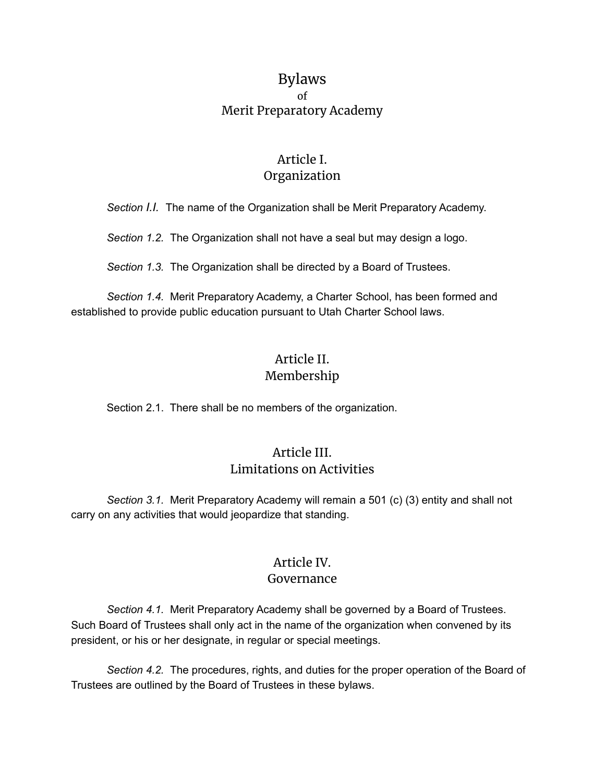# Bylaws of Merit Preparatory Academy

# Article I. Organization

*Section I.I.* The name of the Organization shall be Merit Preparatory Academy.

*Section 1.2.* The Organization shall not have a seal but may design a logo.

*Section 1.3.* The Organization shall be directed by a Board of Trustees.

*Section 1.4.* Merit Preparatory Academy, a Charter School, has been formed and established to provide public education pursuant to Utah Charter School laws.

# Article II. Membership

Section 2.1. There shall be no members of the organization.

## Article III. Limitations on Activities

*Section 3.1.* Merit Preparatory Academy will remain a 501 (c) (3) entity and shall not carry on any activities that would jeopardize that standing.

### Article IV. Governance

*Section 4.1.* Merit Preparatory Academy shall be governed by a Board of Trustees. Such Board of Trustees shall only act in the name of the organization when convened by its president, or his or her designate, in regular or special meetings.

*Section 4.2.* The procedures, rights, and duties for the proper operation of the Board of Trustees are outlined by the Board of Trustees in these bylaws.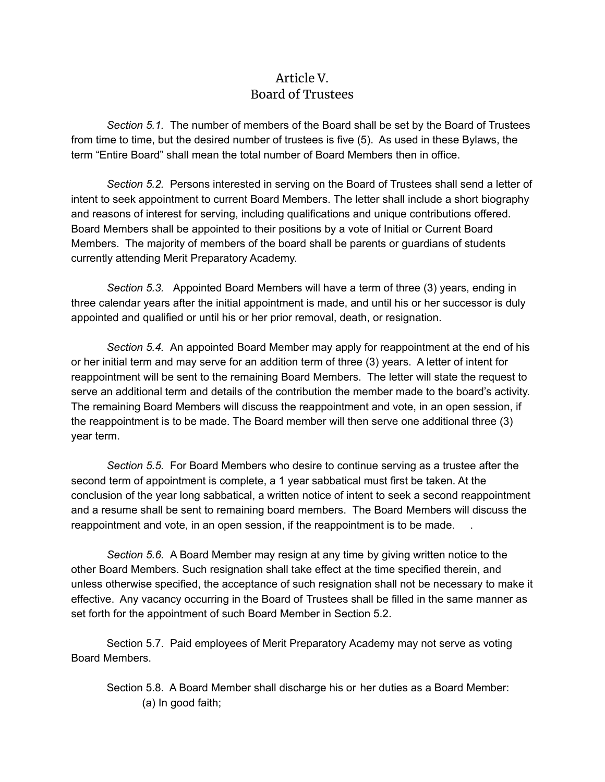# Article V. Board of Trustees

*Section 5.1.* The number of members of the Board shall be set by the Board of Trustees from time to time, but the desired number of trustees is five (5). As used in these Bylaws, the term "Entire Board" shall mean the total number of Board Members then in office.

*Section 5.2.* Persons interested in serving on the Board of Trustees shall send a letter of intent to seek appointment to current Board Members. The letter shall include a short biography and reasons of interest for serving, including qualifications and unique contributions offered. Board Members shall be appointed to their positions by a vote of Initial or Current Board Members. The majority of members of the board shall be parents or guardians of students currently attending Merit Preparatory Academy.

*Section 5.3.* Appointed Board Members will have a term of three (3) years, ending in three calendar years after the initial appointment is made, and until his or her successor is duly appointed and qualified or until his or her prior removal, death, or resignation.

*Section 5.4.* An appointed Board Member may apply for reappointment at the end of his or her initial term and may serve for an addition term of three (3) years. A letter of intent for reappointment will be sent to the remaining Board Members. The letter will state the request to serve an additional term and details of the contribution the member made to the board's activity. The remaining Board Members will discuss the reappointment and vote, in an open session, if the reappointment is to be made. The Board member will then serve one additional three (3) year term.

*Section 5.5.* For Board Members who desire to continue serving as a trustee after the second term of appointment is complete, a 1 year sabbatical must first be taken. At the conclusion of the year long sabbatical, a written notice of intent to seek a second reappointment and a resume shall be sent to remaining board members. The Board Members will discuss the reappointment and vote, in an open session, if the reappointment is to be made. .

*Section 5.6.* A Board Member may resign at any time by giving written notice to the other Board Members. Such resignation shall take effect at the time specified therein, and unless otherwise specified, the acceptance of such resignation shall not be necessary to make it effective. Any vacancy occurring in the Board of Trustees shall be filled in the same manner as set forth for the appointment of such Board Member in Section 5.2.

Section 5.7. Paid employees of Merit Preparatory Academy may not serve as voting Board Members.

Section 5.8. A Board Member shall discharge his or her duties as a Board Member: (a) In good faith;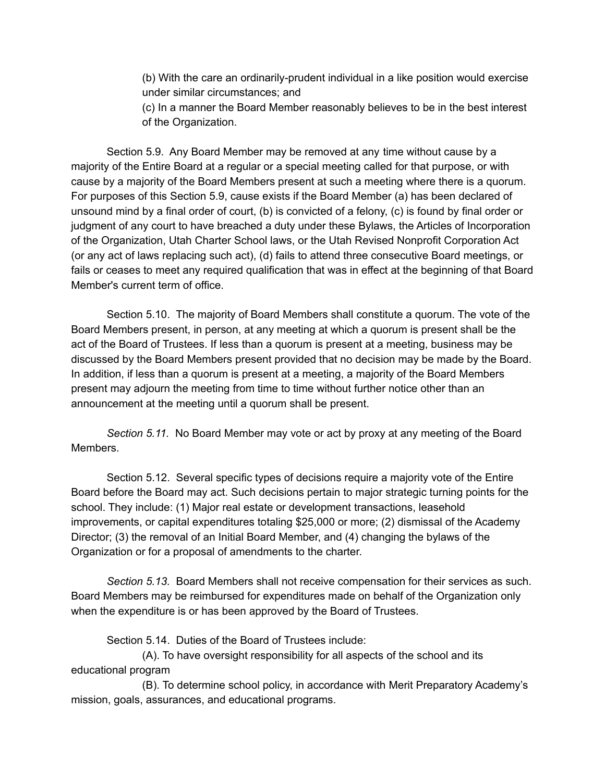(b) With the care an ordinarily-prudent individual in a like position would exercise under similar circumstances; and

(c) In a manner the Board Member reasonably believes to be in the best interest of the Organization.

Section 5.9. Any Board Member may be removed at any time without cause by a majority of the Entire Board at a regular or a special meeting called for that purpose, or with cause by a majority of the Board Members present at such a meeting where there is a quorum. For purposes of this Section 5.9, cause exists if the Board Member (a) has been declared of unsound mind by a final order of court, (b) is convicted of a felony, (c) is found by final order or judgment of any court to have breached a duty under these Bylaws, the Articles of Incorporation of the Organization, Utah Charter School laws, or the Utah Revised Nonprofit Corporation Act (or any act of laws replacing such act), (d) fails to attend three consecutive Board meetings, or fails or ceases to meet any required qualification that was in effect at the beginning of that Board Member's current term of office.

Section 5.10. The majority of Board Members shall constitute a quorum. The vote of the Board Members present, in person, at any meeting at which a quorum is present shall be the act of the Board of Trustees. If less than a quorum is present at a meeting, business may be discussed by the Board Members present provided that no decision may be made by the Board. In addition, if less than a quorum is present at a meeting, a majority of the Board Members present may adjourn the meeting from time to time without further notice other than an announcement at the meeting until a quorum shall be present.

*Section 5.11.* No Board Member may vote or act by proxy at any meeting of the Board Members.

Section 5.12. Several specific types of decisions require a majority vote of the Entire Board before the Board may act. Such decisions pertain to major strategic turning points for the school. They include: (1) Major real estate or development transactions, leasehold improvements, or capital expenditures totaling \$25,000 or more; (2) dismissal of the Academy Director; (3) the removal of an Initial Board Member, and (4) changing the bylaws of the Organization or for a proposal of amendments to the charter.

*Section 5.13.* Board Members shall not receive compensation for their services as such. Board Members may be reimbursed for expenditures made on behalf of the Organization only when the expenditure is or has been approved by the Board of Trustees.

Section 5.14. Duties of the Board of Trustees include:

(A). To have oversight responsibility for all aspects of the school and its educational program

(B). To determine school policy, in accordance with Merit Preparatory Academy's mission, goals, assurances, and educational programs.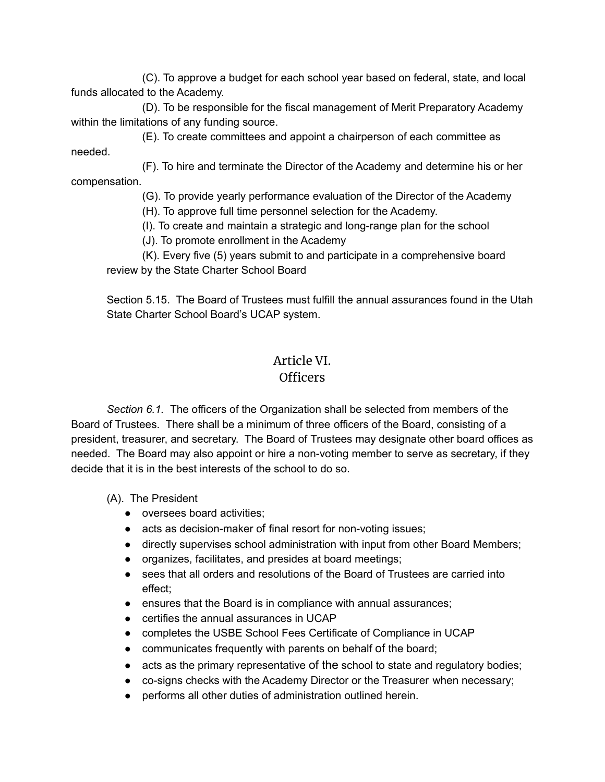(C). To approve a budget for each school year based on federal, state, and local funds allocated to the Academy.

(D). To be responsible for the fiscal management of Merit Preparatory Academy within the limitations of any funding source.

(E). To create committees and appoint a chairperson of each committee as needed.

(F). To hire and terminate the Director of the Academy and determine his or her compensation.

(G). To provide yearly performance evaluation of the Director of the Academy

(H). To approve full time personnel selection for the Academy.

(I). To create and maintain a strategic and long-range plan for the school

(J). To promote enrollment in the Academy

(K). Every five (5) years submit to and participate in a comprehensive board review by the State Charter School Board

Section 5.15. The Board of Trustees must fulfill the annual assurances found in the Utah State Charter School Board's UCAP system.

### Article VI. Officers

*Section 6.1.* The officers of the Organization shall be selected from members of the Board of Trustees. There shall be a minimum of three officers of the Board, consisting of a president, treasurer, and secretary. The Board of Trustees may designate other board offices as needed. The Board may also appoint or hire a non-voting member to serve as secretary, if they decide that it is in the best interests of the school to do so.

(A). The President

- oversees board activities;
- acts as decision-maker of final resort for non-voting issues;
- directly supervises school administration with input from other Board Members;
- organizes, facilitates, and presides at board meetings;
- sees that all orders and resolutions of the Board of Trustees are carried into effect;
- ensures that the Board is in compliance with annual assurances;
- certifies the annual assurances in UCAP
- completes the USBE School Fees Certificate of Compliance in UCAP
- communicates frequently with parents on behalf of the board;
- acts as the primary representative of the school to state and regulatory bodies;
- co-signs checks with the Academy Director or the Treasurer when necessary;
- performs all other duties of administration outlined herein.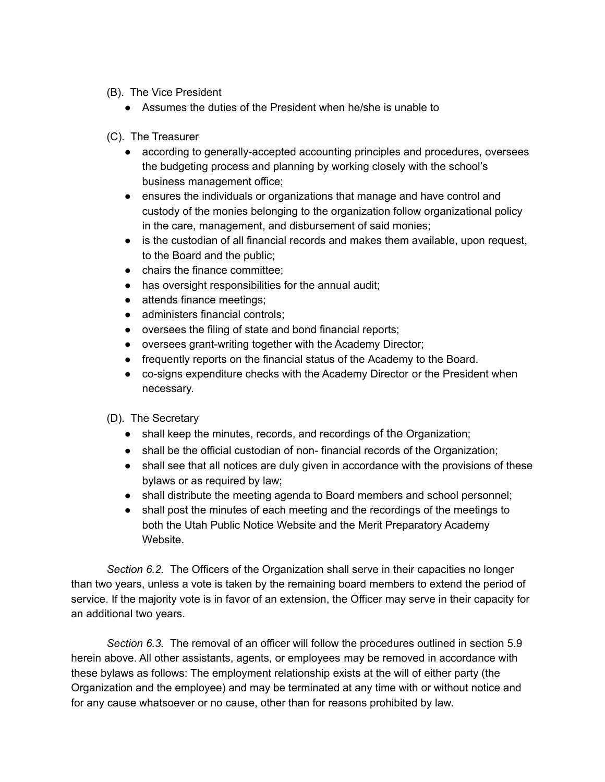- (B). The Vice President
	- Assumes the duties of the President when he/she is unable to
- (C). The Treasurer
	- according to generally-accepted accounting principles and procedures, oversees the budgeting process and planning by working closely with the school's business management office;
	- ensures the individuals or organizations that manage and have control and custody of the monies belonging to the organization follow organizational policy in the care, management, and disbursement of said monies;
	- is the custodian of all financial records and makes them available, upon request, to the Board and the public;
	- chairs the finance committee;
	- has oversight responsibilities for the annual audit;
	- attends finance meetings;
	- administers financial controls:
	- oversees the filing of state and bond financial reports;
	- oversees grant-writing together with the Academy Director;
	- frequently reports on the financial status of the Academy to the Board.
	- co-signs expenditure checks with the Academy Director or the President when necessary.
- (D). The Secretary
	- shall keep the minutes, records, and recordings of the Organization;
	- shall be the official custodian of non- financial records of the Organization;
	- shall see that all notices are duly given in accordance with the provisions of these bylaws or as required by law;
	- shall distribute the meeting agenda to Board members and school personnel;
	- shall post the minutes of each meeting and the recordings of the meetings to both the Utah Public Notice Website and the Merit Preparatory Academy Website.

*Section 6.2.* The Officers of the Organization shall serve in their capacities no longer than two years, unless a vote is taken by the remaining board members to extend the period of service. If the majority vote is in favor of an extension, the Officer may serve in their capacity for an additional two years.

*Section 6.3.* The removal of an officer will follow the procedures outlined in section 5.9 herein above. All other assistants, agents, or employees may be removed in accordance with these bylaws as follows: The employment relationship exists at the will of either party (the Organization and the employee) and may be terminated at any time with or without notice and for any cause whatsoever or no cause, other than for reasons prohibited by law.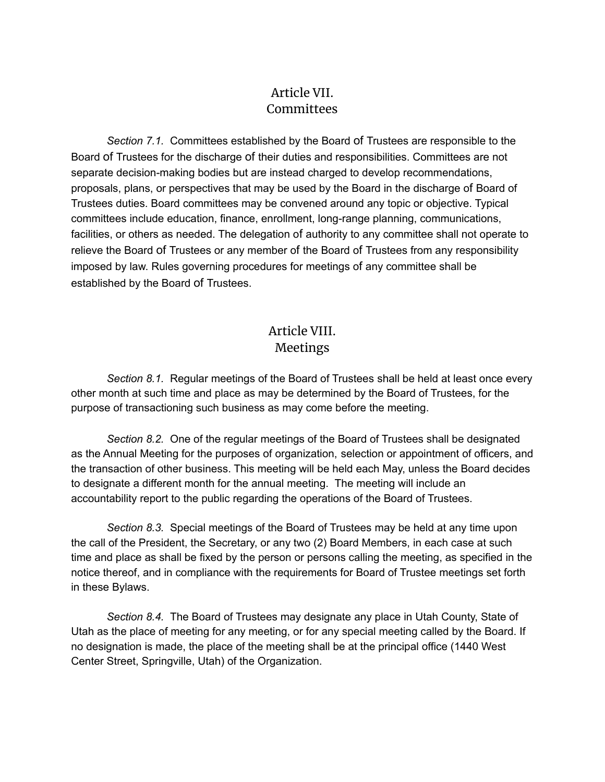# Article VII. **Committees**

*Section 7.1.* Committees established by the Board of Trustees are responsible to the Board of Trustees for the discharge of their duties and responsibilities. Committees are not separate decision-making bodies but are instead charged to develop recommendations, proposals, plans, or perspectives that may be used by the Board in the discharge of Board of Trustees duties. Board committees may be convened around any topic or objective. Typical committees include education, finance, enrollment, long-range planning, communications, facilities, or others as needed. The delegation of authority to any committee shall not operate to relieve the Board of Trustees or any member of the Board of Trustees from any responsibility imposed by law. Rules governing procedures for meetings of any committee shall be established by the Board of Trustees.

# Article VIII. Meetings

*Section 8.1.* Regular meetings of the Board of Trustees shall be held at least once every other month at such time and place as may be determined by the Board of Trustees, for the purpose of transactioning such business as may come before the meeting.

*Section 8.2.* One of the regular meetings of the Board of Trustees shall be designated as the Annual Meeting for the purposes of organization, selection or appointment of officers, and the transaction of other business. This meeting will be held each May, unless the Board decides to designate a different month for the annual meeting. The meeting will include an accountability report to the public regarding the operations of the Board of Trustees.

*Section 8.3.* Special meetings of the Board of Trustees may be held at any time upon the call of the President, the Secretary, or any two (2) Board Members, in each case at such time and place as shall be fixed by the person or persons calling the meeting, as specified in the notice thereof, and in compliance with the requirements for Board of Trustee meetings set forth in these Bylaws.

*Section 8.4.* The Board of Trustees may designate any place in Utah County, State of Utah as the place of meeting for any meeting, or for any special meeting called by the Board. If no designation is made, the place of the meeting shall be at the principal office (1440 West Center Street, Springville, Utah) of the Organization.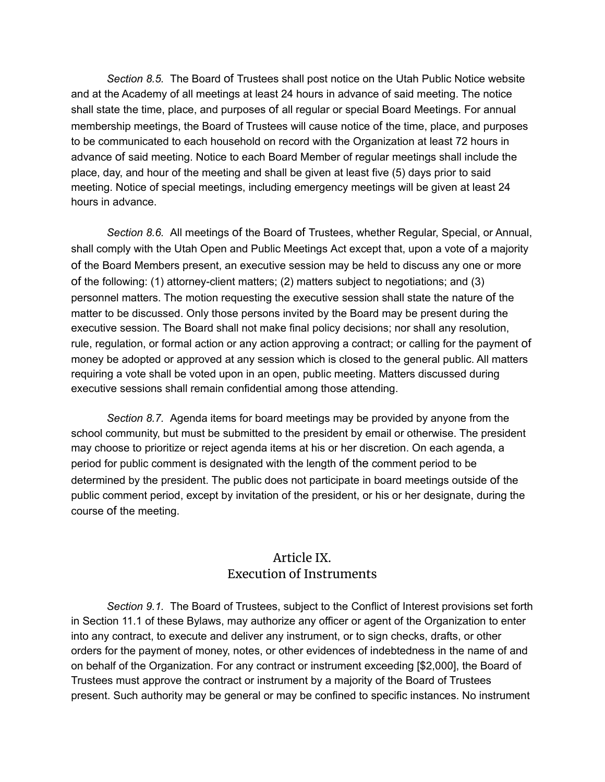*Section 8.5.* The Board of Trustees shall post notice on the Utah Public Notice website and at the Academy of all meetings at least 24 hours in advance of said meeting. The notice shall state the time, place, and purposes of all regular or special Board Meetings. For annual membership meetings, the Board of Trustees will cause notice of the time, place, and purposes to be communicated to each household on record with the Organization at least 72 hours in advance of said meeting. Notice to each Board Member of regular meetings shall include the place, day, and hour of the meeting and shall be given at least five (5) days prior to said meeting. Notice of special meetings, including emergency meetings will be given at least 24 hours in advance.

*Section 8.6.* All meetings of the Board of Trustees, whether Regular, Special, or Annual, shall comply with the Utah Open and Public Meetings Act except that, upon a vote of a majority of the Board Members present, an executive session may be held to discuss any one or more of the following: (1) attorney-client matters; (2) matters subject to negotiations; and (3) personnel matters. The motion requesting the executive session shall state the nature of the matter to be discussed. Only those persons invited by the Board may be present during the executive session. The Board shall not make final policy decisions; nor shall any resolution, rule, regulation, or formal action or any action approving a contract; or calling for the payment of money be adopted or approved at any session which is closed to the general public. All matters requiring a vote shall be voted upon in an open, public meeting. Matters discussed during executive sessions shall remain confidential among those attending.

*Section 8.7.* Agenda items for board meetings may be provided by anyone from the school community, but must be submitted to the president by email or otherwise. The president may choose to prioritize or reject agenda items at his or her discretion. On each agenda, a period for public comment is designated with the length of the comment period to be determined by the president. The public does not participate in board meetings outside of the public comment period, except by invitation of the president, or his or her designate, during the course of the meeting.

### Article IX. Execution of Instruments

*Section 9.1.* The Board of Trustees, subject to the Conflict of Interest provisions set forth in Section 11.1 of these Bylaws, may authorize any officer or agent of the Organization to enter into any contract, to execute and deliver any instrument, or to sign checks, drafts, or other orders for the payment of money, notes, or other evidences of indebtedness in the name of and on behalf of the Organization. For any contract or instrument exceeding [\$2,000], the Board of Trustees must approve the contract or instrument by a majority of the Board of Trustees present. Such authority may be general or may be confined to specific instances. No instrument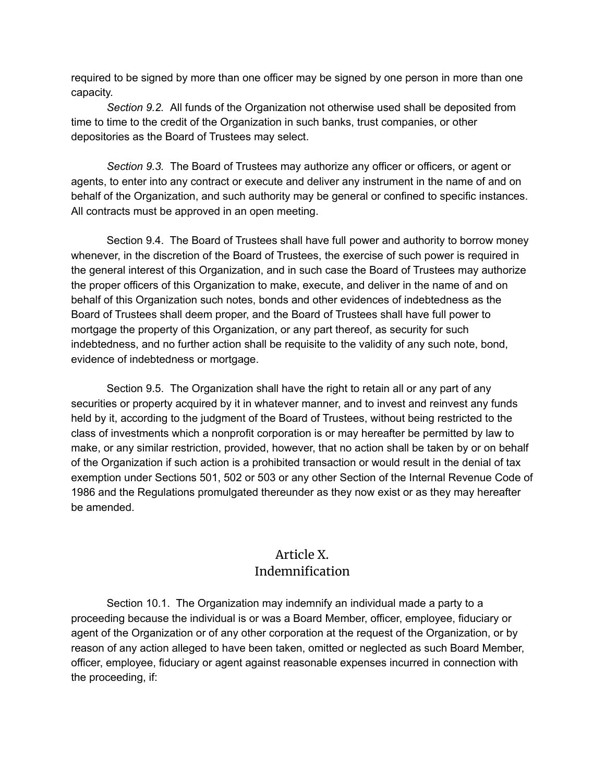required to be signed by more than one officer may be signed by one person in more than one capacity.

*Section 9.2.* All funds of the Organization not otherwise used shall be deposited from time to time to the credit of the Organization in such banks, trust companies, or other depositories as the Board of Trustees may select.

*Section 9.3.* The Board of Trustees may authorize any officer or officers, or agent or agents, to enter into any contract or execute and deliver any instrument in the name of and on behalf of the Organization, and such authority may be general or confined to specific instances. All contracts must be approved in an open meeting.

Section 9.4. The Board of Trustees shall have full power and authority to borrow money whenever, in the discretion of the Board of Trustees, the exercise of such power is required in the general interest of this Organization, and in such case the Board of Trustees may authorize the proper officers of this Organization to make, execute, and deliver in the name of and on behalf of this Organization such notes, bonds and other evidences of indebtedness as the Board of Trustees shall deem proper, and the Board of Trustees shall have full power to mortgage the property of this Organization, or any part thereof, as security for such indebtedness, and no further action shall be requisite to the validity of any such note, bond, evidence of indebtedness or mortgage.

Section 9.5. The Organization shall have the right to retain all or any part of any securities or property acquired by it in whatever manner, and to invest and reinvest any funds held by it, according to the judgment of the Board of Trustees, without being restricted to the class of investments which a nonprofit corporation is or may hereafter be permitted by law to make, or any similar restriction, provided, however, that no action shall be taken by or on behalf of the Organization if such action is a prohibited transaction or would result in the denial of tax exemption under Sections 501, 502 or 503 or any other Section of the Internal Revenue Code of 1986 and the Regulations promulgated thereunder as they now exist or as they may hereafter be amended.

## Article X. Indemnification

Section 10.1. The Organization may indemnify an individual made a party to a proceeding because the individual is or was a Board Member, officer, employee, fiduciary or agent of the Organization or of any other corporation at the request of the Organization, or by reason of any action alleged to have been taken, omitted or neglected as such Board Member, officer, employee, fiduciary or agent against reasonable expenses incurred in connection with the proceeding, if: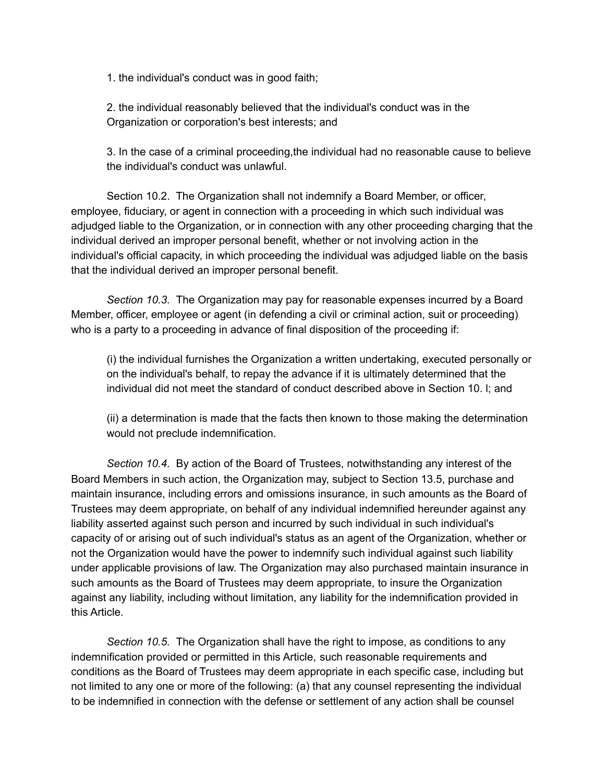1. the individual's conduct was in good faith;

2. the individual reasonably believed that the individual's conduct was in the Organization or corporation's best interests; and

3. In the case of a criminal proceeding,the individual had no reasonable cause to believe the individual's conduct was unlawful.

Section 10.2. The Organization shall not indemnify a Board Member, or officer, employee, fiduciary, or agent in connection with a proceeding in which such individual was adjudged liable to the Organization, or in connection with any other proceeding charging that the individual derived an improper personal benefit, whether or not involving action in the individual's official capacity, in which proceeding the individual was adjudged liable on the basis that the individual derived an improper personal benefit.

*Section 10.3.* The Organization may pay for reasonable expenses incurred by a Board Member, officer, employee or agent (in defending a civil or criminal action, suit or proceeding) who is a party to a proceeding in advance of final disposition of the proceeding if:

(i) the individual furnishes the Organization a written undertaking, executed personally or on the individual's behalf, to repay the advance if it is ultimately determined that the individual did not meet the standard of conduct described above in Section 10. l; and

(ii) a determination is made that the facts then known to those making the determination would not preclude indemnification.

*Section 10.4.* By action of the Board of Trustees, notwithstanding any interest of the Board Members in such action, the Organization may, subject to Section 13.5, purchase and maintain insurance, including errors and omissions insurance, in such amounts as the Board of Trustees may deem appropriate, on behalf of any individual indemnified hereunder against any liability asserted against such person and incurred by such individual in such individual's capacity of or arising out of such individual's status as an agent of the Organization, whether or not the Organization would have the power to indemnify such individual against such liability under applicable provisions of law. The Organization may also purchased maintain insurance in such amounts as the Board of Trustees may deem appropriate, to insure the Organization against any liability, including without limitation, any liability for the indemnification provided in this Article.

*Section 10.5.* The Organization shall have the right to impose, as conditions to any indemnification provided or permitted in this Article, such reasonable requirements and conditions as the Board of Trustees may deem appropriate in each specific case, including but not limited to any one or more of the following: (a) that any counsel representing the individual to be indemnified in connection with the defense or settlement of any action shall be counsel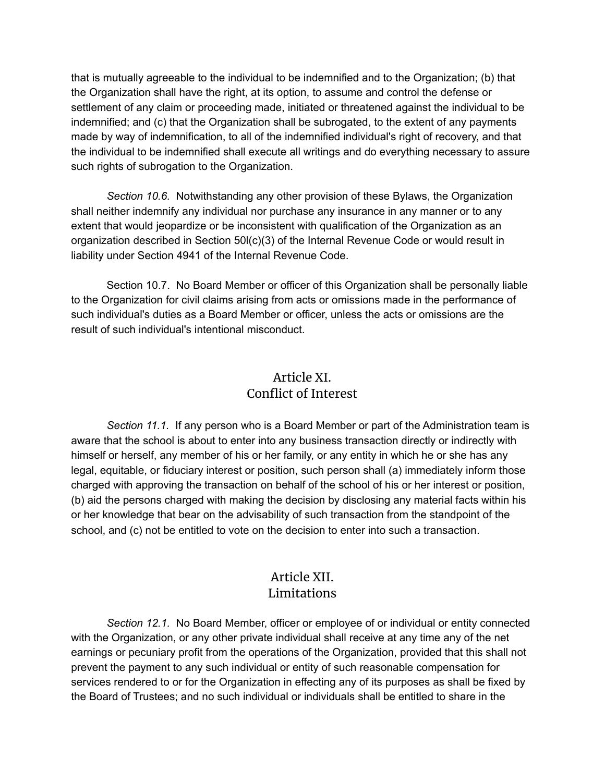that is mutually agreeable to the individual to be indemnified and to the Organization; (b) that the Organization shall have the right, at its option, to assume and control the defense or settlement of any claim or proceeding made, initiated or threatened against the individual to be indemnified; and (c) that the Organization shall be subrogated, to the extent of any payments made by way of indemnification, to all of the indemnified individual's right of recovery, and that the individual to be indemnified shall execute all writings and do everything necessary to assure such rights of subrogation to the Organization.

*Section 10.6.* Notwithstanding any other provision of these Bylaws, the Organization shall neither indemnify any individual nor purchase any insurance in any manner or to any extent that would jeopardize or be inconsistent with qualification of the Organization as an organization described in Section 50l(c)(3) of the Internal Revenue Code or would result in liability under Section 4941 of the Internal Revenue Code.

Section 10.7. No Board Member or officer of this Organization shall be personally liable to the Organization for civil claims arising from acts or omissions made in the performance of such individual's duties as a Board Member or officer, unless the acts or omissions are the result of such individual's intentional misconduct.

# Article XI. Conflict of Interest

*Section 11.1.* If any person who is a Board Member or part of the Administration team is aware that the school is about to enter into any business transaction directly or indirectly with himself or herself, any member of his or her family, or any entity in which he or she has any legal, equitable, or fiduciary interest or position, such person shall (a) immediately inform those charged with approving the transaction on behalf of the school of his or her interest or position, (b) aid the persons charged with making the decision by disclosing any material facts within his or her knowledge that bear on the advisability of such transaction from the standpoint of the school, and (c) not be entitled to vote on the decision to enter into such a transaction.

# Article XII. Limitations

*Section 12.1.* No Board Member, officer or employee of or individual or entity connected with the Organization, or any other private individual shall receive at any time any of the net earnings or pecuniary profit from the operations of the Organization, provided that this shall not prevent the payment to any such individual or entity of such reasonable compensation for services rendered to or for the Organization in effecting any of its purposes as shall be fixed by the Board of Trustees; and no such individual or individuals shall be entitled to share in the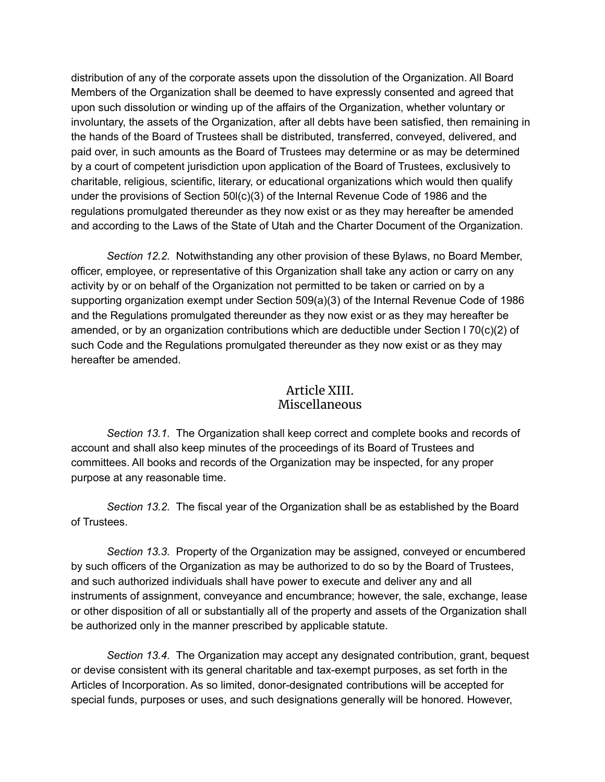distribution of any of the corporate assets upon the dissolution of the Organization. All Board Members of the Organization shall be deemed to have expressly consented and agreed that upon such dissolution or winding up of the affairs of the Organization, whether voluntary or involuntary, the assets of the Organization, after all debts have been satisfied, then remaining in the hands of the Board of Trustees shall be distributed, transferred, conveyed, delivered, and paid over, in such amounts as the Board of Trustees may determine or as may be determined by a court of competent jurisdiction upon application of the Board of Trustees, exclusively to charitable, religious, scientific, literary, or educational organizations which would then qualify under the provisions of Section 50l(c)(3) of the Internal Revenue Code of 1986 and the regulations promulgated thereunder as they now exist or as they may hereafter be amended and according to the Laws of the State of Utah and the Charter Document of the Organization.

*Section 12.2.* Notwithstanding any other provision of these Bylaws, no Board Member, officer, employee, or representative of this Organization shall take any action or carry on any activity by or on behalf of the Organization not permitted to be taken or carried on by a supporting organization exempt under Section 509(a)(3) of the Internal Revenue Code of 1986 and the Regulations promulgated thereunder as they now exist or as they may hereafter be amended, or by an organization contributions which are deductible under Section l 70(c)(2) of such Code and the Regulations promulgated thereunder as they now exist or as they may hereafter be amended.

#### Article XIII. Miscellaneous

*Section 13.1.* The Organization shall keep correct and complete books and records of account and shall also keep minutes of the proceedings of its Board of Trustees and committees. All books and records of the Organization may be inspected, for any proper purpose at any reasonable time.

*Section 13.2.* The fiscal year of the Organization shall be as established by the Board of Trustees.

*Section 13.3.* Property of the Organization may be assigned, conveyed or encumbered by such officers of the Organization as may be authorized to do so by the Board of Trustees, and such authorized individuals shall have power to execute and deliver any and all instruments of assignment, conveyance and encumbrance; however, the sale, exchange, lease or other disposition of all or substantially all of the property and assets of the Organization shall be authorized only in the manner prescribed by applicable statute.

*Section 13.4.* The Organization may accept any designated contribution, grant, bequest or devise consistent with its general charitable and tax-exempt purposes, as set forth in the Articles of Incorporation. As so limited, donor-designated contributions will be accepted for special funds, purposes or uses, and such designations generally will be honored. However,